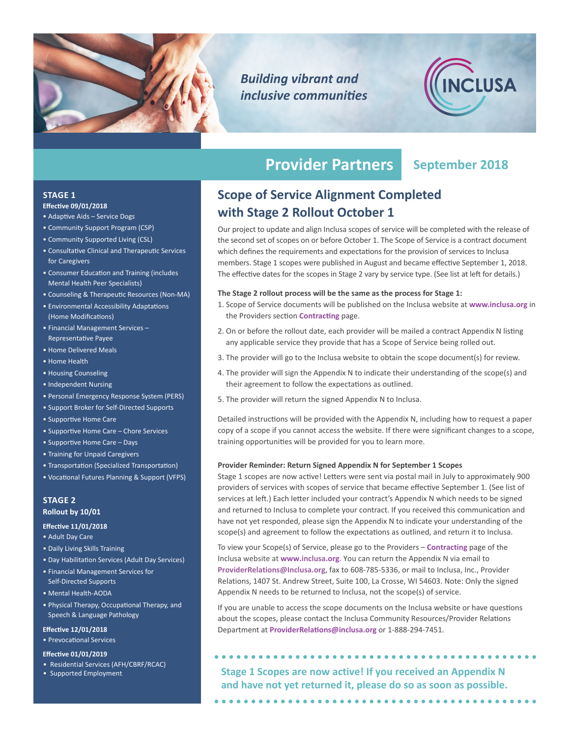

*Building vibrant and inclusive communities*



# **Provider Partners September 2018**

## **STAGE 1**

### **Effective 09/01/2018**

- Adaptive Aids Service Dogs
- Community Support Program (CSP)
- Community Supported Living (CSL)
- Consultative Clinical and Therapeutic Services for Caregivers
- Consumer Education and Training (includes Mental Health Peer Specialists)
- Counseling & Therapeutic Resources (Non-MA)
- Environmental Accessibility Adaptations (Home Modifications)
- Financial Management Services Representative Payee
- Home Delivered Meals
- Home Health
- Housing Counseling
- Independent Nursing
- Personal Emergency Response System (PERS)
- Support Broker for Self-Directed Supports
- Supportive Home Care
- Supportive Home Care Chore Services
- Supportive Home Care Days
- Training for Unpaid Caregivers
- Transportation (Specialized Transportation)
- Vocational Futures Planning & Support (VFPS)

#### **STAGE 2 Rollout by 10/01**

#### **Effective 11/01/2018**

- Adult Day Care
- Daily Living Skills Training
- Day Habilitation Services (Adult Day Services)
- Financial Management Services for Self-Directed Supports
- Mental Health-AODA
- Physical Therapy, Occupational Therapy, and Speech & Language Pathology

#### **Effective 12/01/2018**

• Prevocational Services

#### **Effective 01/01/2019**

- Residential Services (AFH/CBRF/RCAC)
- 

## **Scope of Service Alignment Completed with Stage 2 Rollout October 1**

Our project to update and align Inclusa scopes of service will be completed with the release of the second set of scopes on or before October 1. The Scope of Service is a contract document which defines the requirements and expectations for the provision of services to Inclusa members. Stage 1 scopes were published in August and became effective September 1, 2018. The effective dates for the scopes in Stage 2 vary by service type. (See list at left for details.)

#### **The Stage 2 rollout process will be the same as the process for Stage 1:**

- 1. Scope of Service documents will be published on the Inclusa website at **[www.inclusa.org](http://www.inclusa.org)** in the Providers section **[Contracting](http://www.inclusa.org/providers/contracting)** page.
- 2. On or before the rollout date, each provider will be mailed a contract Appendix N listing any applicable service they provide that has a Scope of Service being rolled out.
- 3. The provider will go to the Inclusa website to obtain the scope document(s) for review.
- 4. The provider will sign the Appendix N to indicate their understanding of the scope(s) and their agreement to follow the expectations as outlined.
- 5. The provider will return the signed Appendix N to Inclusa.

Detailed instructions will be provided with the Appendix N, including how to request a paper copy of a scope if you cannot access the website. If there were significant changes to a scope, training opportunities will be provided for you to learn more.

#### **Provider Reminder: Return Signed Appendix N for September 1 Scopes**

Stage 1 scopes are now active! Letters were sent via postal mail in July to approximately 900 providers of services with scopes of service that became effective September 1. (See list of services at left.) Each letter included your contract's Appendix N which needs to be signed and returned to Inclusa to complete your contract. If you received this communication and have not yet responded, please sign the Appendix N to indicate your understanding of the scope(s) and agreement to follow the expectations as outlined, and return it to Inclusa.

To view your Scope(s) of Service, please go to the Providers – **[Contracting](http://www.inclusa.org/providers/contracting)** page of the Inclusa website at **www.inclusa.org**. You can return the Appendix N via email to **ProviderRelations@Inclusa.org**, fax to 608-785-5336, or mail to Inclusa, Inc., Provider Relations, 1407 St. Andrew Street, Suite 100, La Crosse, WI 54603. Note: Only the signed Appendix N needs to be returned to Inclusa, not the scope(s) of service.

If you are unable to access the scope documents on the Inclusa website or have questions about the scopes, please contact the Inclusa Community Resources/Provider Relations Department at **ProviderRelations@inclusa.org** or 1-888-294-7451.

• Supported Employment **Stage 1 Scopes are now active! If you received an Appendix N and have not yet returned it, please do so as soon as possible.**

 $\bullet\bullet\bullet\bullet$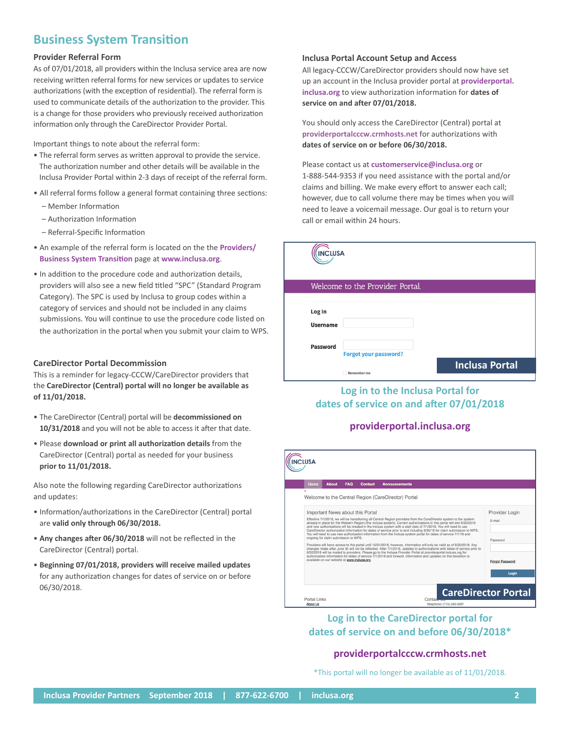## **Business System Transition**

#### **Provider Referral Form**

As of 07/01/2018, all providers within the Inclusa service area are now receiving written referral forms for new services or updates to service authorizations (with the exception of residential). The referral form is used to communicate details of the authorization to the provider. This is a change for those providers who previously received authorization information only through the CareDirector Provider Portal.

Important things to note about the referral form:

- The referral form serves as written approval to provide the service. The authorization number and other details will be available in the Inclusa Provider Portal within 2-3 days of receipt of the referral form.
- All referral forms follow a general format containing three sections:
	- Member Information
	- Authorization Information
	- Referral-Specific Information
- An example of the referral form is located on the the **[Providers/](http://www.inclusa.org/providers/business-system-transition/) [Business System Transition](http://www.inclusa.org/providers/business-system-transition/)** page at **www.inclusa.org**.
- In addition to the procedure code and authorization details, providers will also see a new field titled "SPC" (Standard Program Category). The SPC is used by Inclusa to group codes within a category of services and should not be included in any claims submissions. You will continue to use the procedure code listed on the authorization in the portal when you submit your claim to WPS.

#### **CareDirector Portal Decommission**

This is a reminder for legacy-CCCW/CareDirector providers that the **CareDirector (Central) portal will no longer be available as of 11/01/2018.**

- The CareDirector (Central) portal will be **decommissioned on 10/31/2018** and you will not be able to access it after that date.
- Please **download or print all authorization details** from the CareDirector (Central) portal as needed for your business **prior to 11/01/2018.**

Also note the following regarding CareDirector authorizations and updates:

- Information/authorizations in the CareDirector (Central) portal are **valid only through 06/30/2018.**
- **Any changes after 06/30/2018** will not be reflected in the CareDirector (Central) portal.
- **Beginning 07/01/2018, providers will receive mailed updates** for any authorization changes for dates of service on or before 06/30/2018.

#### **Inclusa Portal Account Setup and Access**

All legacy-CCCW/CareDirector providers should now have set up an account in the Inclusa provider portal at **[providerportal.](https://providerportal.inclusa.org/) [inclusa.org](https://providerportal.inclusa.org/)** to view authorization information for **dates of service on and after 07/01/2018.**

You should only access the CareDirector (Central) portal at **[providerportalcccw.crmhosts.net](https://providerportalcccw.crmhosts.net/)** for authorizations with **dates of service on or before 06/30/2018.**

Please contact us at **customerservice@inclusa.org** or

1-888-544-9353 if you need assistance with the portal and/or claims and billing. We make every effort to answer each call; however, due to call volume there may be times when you will need to leave a voicemail message. Our goal is to return your call or email within 24 hours.

| <b>INCLUSA</b>                  |                              |                       |
|---------------------------------|------------------------------|-----------------------|
| Welcome to the Provider Portal. |                              |                       |
| Log In<br><b>Username</b>       |                              |                       |
| <b>Password</b>                 | <b>Forgot your password?</b> | <b>Inclusa Portal</b> |
|                                 | <b>Remember me</b>           |                       |

## **Log in to the Inclusa Portal for dates of service on and after 07/01/2018**

#### **[providerportal.inclusa.org](https://providerportal.inclusa.org/)**



**Log in to the CareDirector portal for dates of service on and before 06/30/2018\***

#### **[providerportalcccw.crmhosts.net](https://providerportalcccw.crmhosts.net/)**

\*This portal will no longer be available as of 11/01/2018.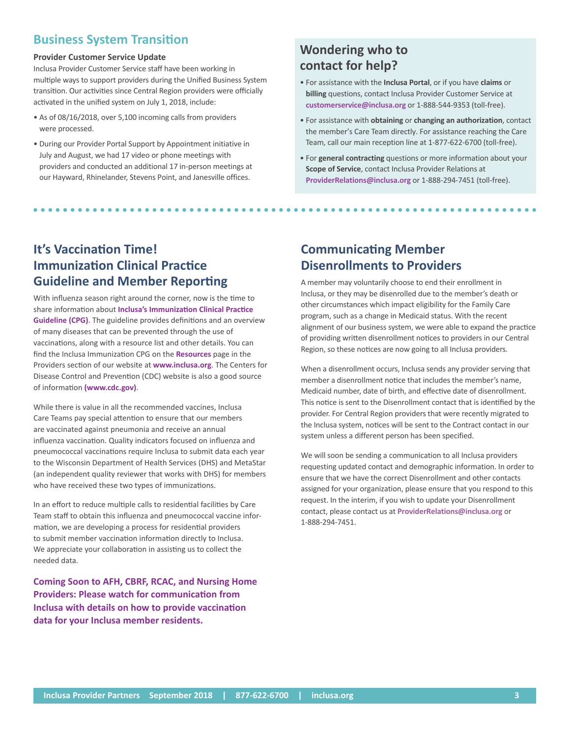## **Business System Transition**

#### **Provider Customer Service Update**

Inclusa Provider Customer Service staff have been working in multiple ways to support providers during the Unified Business System transition. Our activities since Central Region providers were officially activated in the unified system on July 1, 2018, include:

- As of 08/16/2018, over 5,100 incoming calls from providers were processed.
- During our Provider Portal Support by Appointment initiative in July and August, we had 17 video or phone meetings with providers and conducted an additional 17 in-person meetings at our Hayward, Rhinelander, Stevens Point, and Janesville offices.

## **Wondering who to contact for help?**

- For assistance with the **Inclusa Portal**, or if you have **claims** or **billing** questions, contact Inclusa Provider Customer Service at **[customerservice@inclusa.org](mailto:CustomerService@inclusa.org)** or 1-888-544-9353 (toll-free).
- For assistance with **obtaining** or **changing an authorization**, contact the member's Care Team directly. For assistance reaching the Care Team, call our main reception line at 1-877-622-6700 (toll-free).
- For **general contracting** questions or more information about your **Scope of Service**, contact Inclusa Provider Relations at **ProviderRelations@inclusa.org** or 1-888-294-7451 (toll-free).

## **It's Vaccination Time! Immunization Clinical Practice Guideline and Member Reporting**

With influenza season right around the corner, now is the time to share information about **Inclusa's Immunization Clinical Practice Guideline (CPG)**[. The guideline provides definitions and an overvie](http://www.inclusa.org/wp-content/uploads/Immunization-Clinical-Practice-Guideline.pdf)w of many diseases that can be prevented through the use of vaccinations, along with a resource list and other details. You can find the Inclusa Immunization CPG on the **[Resources](http://www.inclusa.org/providers/resources/)** page in the Providers section of our website at **[www.inclusa.org](https://www.inclusa.org)**. The Centers for Disease Control and Prevention (CDC) website is also a good source of information **[\(www.cdc.gov\)](http://www.cdc.gov)**.

While there is value in all the recommended vaccines, Inclusa Care Teams pay special attention to ensure that our members are vaccinated against pneumonia and receive an annual influenza vaccination. Quality indicators focused on influenza and pneumococcal vaccinations require Inclusa to submit data each year to the Wisconsin Department of Health Services (DHS) and MetaStar (an independent quality reviewer that works with DHS) for members who have received these two types of immunizations.

In an effort to reduce multiple calls to residential facilities by Care Team staff to obtain this influenza and pneumococcal vaccine information, we are developing a process for residential providers to submit member vaccination information directly to Inclusa. We appreciate your collaboration in assisting us to collect the needed data.

**Coming Soon to AFH, CBRF, RCAC, and Nursing Home Providers: Please watch for communication from Inclusa with details on how to provide vaccination data for your Inclusa member residents.**

## **Communicating Member Disenrollments to Providers**

A member may voluntarily choose to end their enrollment in Inclusa, or they may be disenrolled due to the member's death or other circumstances which impact eligibility for the Family Care program, such as a change in Medicaid status. With the recent alignment of our business system, we were able to expand the practice of providing written disenrollment notices to providers in our Central Region, so these notices are now going to all Inclusa providers.

When a disenrollment occurs, Inclusa sends any provider serving that member a disenrollment notice that includes the member's name, Medicaid number, date of birth, and effective date of disenrollment. This notice is sent to the Disenrollment contact that is identified by the provider. For Central Region providers that were recently migrated to the Inclusa system, notices will be sent to the Contract contact in our system unless a different person has been specified.

We will soon be sending a communication to all Inclusa providers requesting updated contact and demographic information. In order to ensure that we have the correct Disenrollment and other contacts assigned for your organization, please ensure that you respond to this request. In the interim, if you wish to update your Disenrollment contact, please contact us at **ProviderRelations@inclusa.org** or 1-888-294-7451.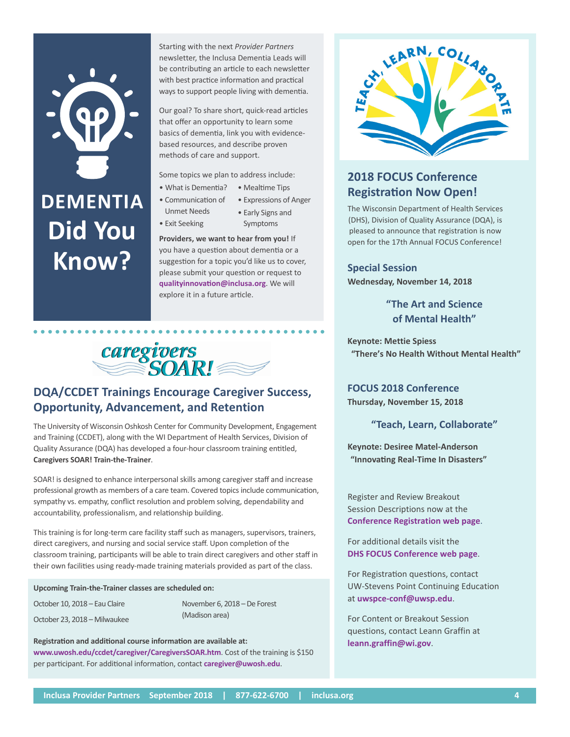# **DEMENTIA Did You Know?**

Starting with the next *Provider Partners* newsletter, the Inclusa Dementia Leads will be contributing an article to each newsletter with best practice information and practical ways to support people living with dementia.

Our goal? To share short, quick-read articles that offer an opportunity to learn some basics of dementia, link you with evidencebased resources, and describe proven methods of care and support.

Some topics we plan to address include:

- What is Dementia? • Mealtime Tips
- Communication of
	- Expressions of Anger • Early Signs and
- Exit Seeking

Unmet Needs

Symptoms

**Providers, we want to hear from you!** If you have a question about dementia or a suggestion for a topic you'd like us to cover, please submit your question or request to **qualityinnovation@inclusa.org**. We will explore it in a future article.



## **DQA/CCDET Trainings Encourage Caregiver Success, Opportunity, Advancement, and Retention**

The University of Wisconsin Oshkosh Center for Community Development, Engagement and Training (CCDET), along with the WI Department of Health Services, Division of Quality Assurance (DQA) has developed a four-hour classroom training entitled, **Caregivers SOAR! Train-the-Trainer**.

SOAR! is designed to enhance interpersonal skills among caregiver staff and increase professional growth as members of a care team. Covered topics include communication, sympathy vs. empathy, conflict resolution and problem solving, dependability and accountability, professionalism, and relationship building.

This training is for long-term care facility staff such as managers, supervisors, trainers, direct caregivers, and nursing and social service staff. Upon completion of the classroom training, participants will be able to train direct caregivers and other staff in their own facilities using ready-made training materials provided as part of the class.

**Upcoming Train-the-Trainer classes are scheduled on:**

October 10, 2018 – Eau Claire October 23, 2018 – Milwaukee November 6, 2018 – De Forest (Madison area)

**Registration and additional course information are available at: www.uwosh.edu/ccdet/caregiver/CaregiversSOAR.htm**. Cost of the training is \$150 per participant. For additional information, contact **[caregiver@uwosh.edu](mailto:caregiver@uwosh.edu)**.



## **2018 FOCUS Conference Registration Now Open!**

The Wisconsin Department of Health Services (DHS), Division of Quality Assurance (DQA), is pleased to announce that registration is now open for the 17th Annual FOCUS Conference!

**Special Session Wednesday, November 14, 2018**

> **"The Art and Science of Mental Health"**

**Keynote: Mettie Spiess "There's No Health Without Mental Health"**

**FOCUS 2018 Conference Thursday, November 15, 2018**

**"Teach, Learn, Collaborate"**

**Keynote: Desiree Matel-Anderson "Innovating Real-Time In Disasters"**

Register and Review Breakout Session Descriptions now at the **Conference Registration web page.** 

For additional details visit the **DHS FOCUS Conference web page.** 

For Registration questions, contact **UW-Stevens Point Continuing Education** at uwspce-conf@uwsp.edu.

For Content or Breakout Session questions, contact Leann Graffin at leann.graffin@wi.gov.